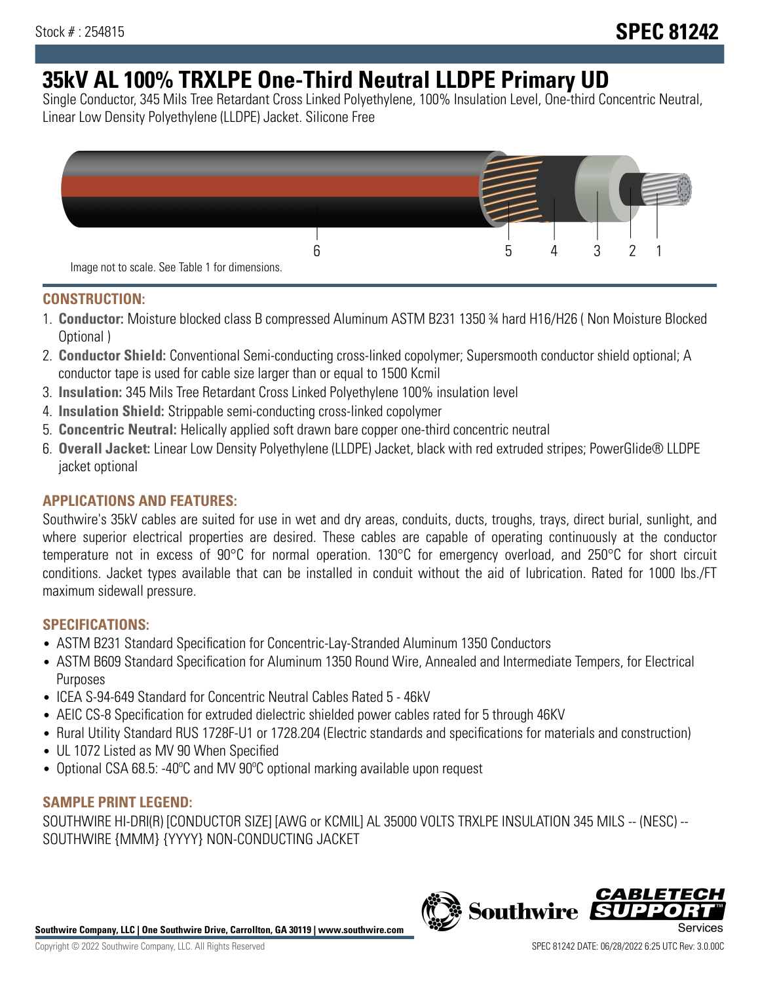# **35kV AL 100% TRXLPE One-Third Neutral LLDPE Primary UD**

Single Conductor, 345 Mils Tree Retardant Cross Linked Polyethylene, 100% Insulation Level, One-third Concentric Neutral, Linear Low Density Polyethylene (LLDPE) Jacket. Silicone Free



### **CONSTRUCTION:**

- 1. **Conductor:** Moisture blocked class B compressed Aluminum ASTM B231 1350 ¾ hard H16/H26 ( Non Moisture Blocked Optional )
- 2. **Conductor Shield:** Conventional Semi-conducting cross-linked copolymer; Supersmooth conductor shield optional; A conductor tape is used for cable size larger than or equal to 1500 Kcmil
- 3. **Insulation:** 345 Mils Tree Retardant Cross Linked Polyethylene 100% insulation level
- 4. **Insulation Shield:** Strippable semi-conducting cross-linked copolymer
- 5. **Concentric Neutral:** Helically applied soft drawn bare copper one-third concentric neutral
- 6. **Overall Jacket:** Linear Low Density Polyethylene (LLDPE) Jacket, black with red extruded stripes; PowerGlide® LLDPE jacket optional

# **APPLICATIONS AND FEATURES:**

Southwire's 35kV cables are suited for use in wet and dry areas, conduits, ducts, troughs, trays, direct burial, sunlight, and where superior electrical properties are desired. These cables are capable of operating continuously at the conductor temperature not in excess of 90°C for normal operation. 130°C for emergency overload, and 250°C for short circuit conditions. Jacket types available that can be installed in conduit without the aid of lubrication. Rated for 1000 lbs./FT maximum sidewall pressure.

# **SPECIFICATIONS:**

- ASTM B231 Standard Specification for Concentric-Lay-Stranded Aluminum 1350 Conductors
- ASTM B609 Standard Specification for Aluminum 1350 Round Wire, Annealed and Intermediate Tempers, for Electrical Purposes
- ICEA S-94-649 Standard for Concentric Neutral Cables Rated 5 46kV
- AEIC CS-8 Specification for extruded dielectric shielded power cables rated for 5 through 46KV
- Rural Utility Standard RUS 1728F-U1 or 1728.204 (Electric standards and specifications for materials and construction)
- UL 1072 Listed as MV 90 When Specified
- Optional CSA 68.5: -40ºC and MV 90ºC optional marking available upon request

### **SAMPLE PRINT LEGEND:**

SOUTHWIRE HI-DRI(R) [CONDUCTOR SIZE] [AWG or KCMIL] AL 35000 VOLTS TRXLPE INSULATION 345 MILS -- (NESC) -- SOUTHWIRE {MMM} {YYYY} NON-CONDUCTING JACKET

**Southwire Company, LLC | One Southwire Drive, Carrollton, GA 30119 | www.southwire.com**

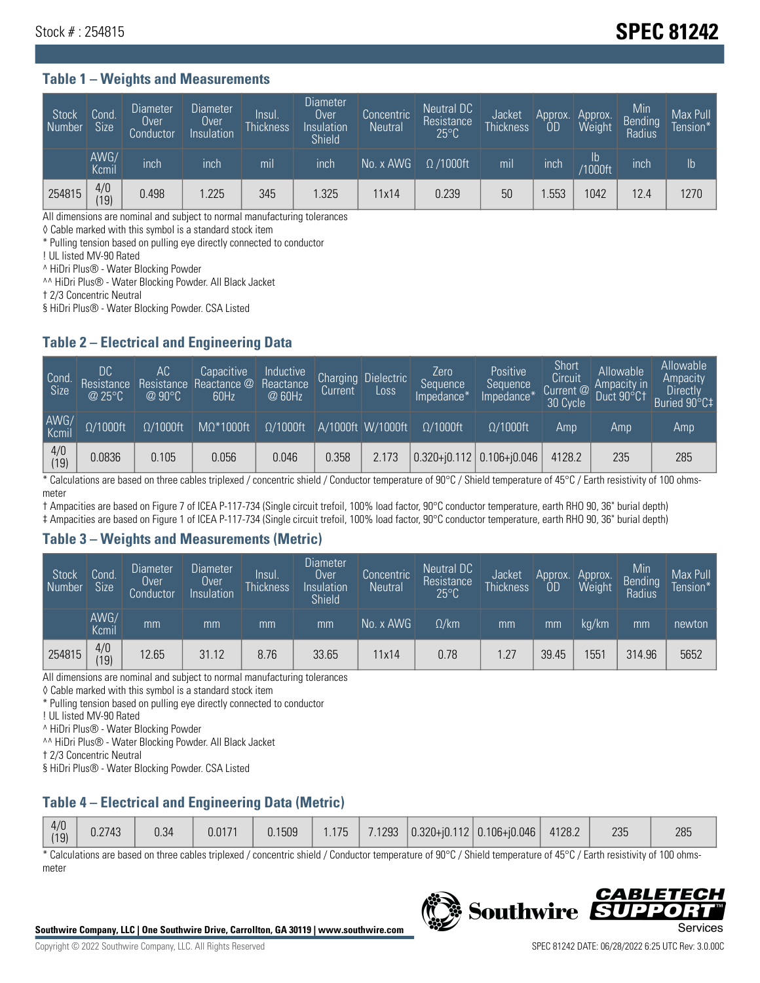# Stock # : 254815 **SPEC 81242**

### **Table 1 – Weights and Measurements**

| Stock<br>Number | Cond<br><b>Size</b> | <b>Diameter</b><br>Over<br>Conductor | <b>Diameter</b><br>Over<br>Insulation | lnsul.<br><b>Thickness</b> | Diameter<br>Over<br>Insulation<br><b>Shield</b> | Concentric<br><b>Neutral</b> | Neutral DC<br>Resistance<br>$25^{\circ}$ C | Jacket<br><b>Thickness</b> | Approx.<br>OD | Approx.<br>Weight | Min<br><b>Bending</b><br>Radius | Max Pull<br>Tension* |
|-----------------|---------------------|--------------------------------------|---------------------------------------|----------------------------|-------------------------------------------------|------------------------------|--------------------------------------------|----------------------------|---------------|-------------------|---------------------------------|----------------------|
|                 | AWG/<br>Kcmil       | inch                                 | inch                                  | mil                        | inch                                            | No. x AWG                    | $\Omega$ /1000ft                           | mil                        | inch          | Ib<br>/1000ft     | inch                            | $\mathsf{lb}$        |
| 254815          | 4/0<br> 19          | 0.498                                | .225                                  | 345                        | .325                                            | 11x14                        | 0.239                                      | 50                         | .553          | 1042              | 12.4                            | 1270                 |

All dimensions are nominal and subject to normal manufacturing tolerances

◊ Cable marked with this symbol is a standard stock item

\* Pulling tension based on pulling eye directly connected to conductor

! UL listed MV-90 Rated

^ HiDri Plus® - Water Blocking Powder

^^ HiDri Plus® - Water Blocking Powder. All Black Jacket

† 2/3 Concentric Neutral

§ HiDri Plus® - Water Blocking Powder. CSA Listed

### **Table 2 – Electrical and Engineering Data**

| Cond.<br>Size         | 'DC.<br>Resistance<br>@25°C | АC<br>Resistance<br>$\varpi$ 90°C | Capacitive<br>Reactance @<br>60Hz | Inductive<br>Reactance<br>@ 60Hz | Charging<br>Current | Dielectric<br>Loss | Zero<br>Sequence<br>Impedance* | Positive<br>Sequence<br>Impedance <sup>+</sup> | Short<br>Circuit<br>Current <sup>@</sup><br>30 Cycle | Allowable<br>Ampacity in<br>Duct 90°C1 | Allowable<br>Ampacity<br>Directly<br>Buried 90°C‡ |
|-----------------------|-----------------------------|-----------------------------------|-----------------------------------|----------------------------------|---------------------|--------------------|--------------------------------|------------------------------------------------|------------------------------------------------------|----------------------------------------|---------------------------------------------------|
| AWG/<br>Kcmil         | $\Omega/1000$ ft            | $\Omega/1000$ ft                  | $M\Omega^*1000$ ft                | $\Omega/1000$ ft                 |                     | A/1000ft W/1000ft  | $\Omega/1000$ ft               | $\Omega$ /1000ft                               | Amp                                                  | Amp                                    | Amp                                               |
| $\frac{4}{0}$<br>(19) | 0.0836                      | 0.105                             | 0.056                             | 0.046                            | 0.358               | 2.173              |                                | $0.320 + 0.112$ 0.106+0.046                    | 4128.2                                               | 235                                    | 285                                               |

\* Calculations are based on three cables triplexed / concentric shield / Conductor temperature of 90°C / Shield temperature of 45°C / Earth resistivity of 100 ohmsmeter

† Ampacities are based on Figure 7 of ICEA P-117-734 (Single circuit trefoil, 100% load factor, 90°C conductor temperature, earth RHO 90, 36" burial depth)

‡ Ampacities are based on Figure 1 of ICEA P-117-734 (Single circuit trefoil, 100% load factor, 90°C conductor temperature, earth RHO 90, 36" burial depth)

#### **Table 3 – Weights and Measurements (Metric)**

| Stock<br>Number | Cond.<br>Size <sup>1</sup> | <b>Diameter</b><br><b>Over</b><br>Conductor | <b>Diameter</b><br><b>Over</b><br>Insulation | Insul.<br><b>Thickness</b> | <b>Diameter</b><br>Over<br>Insulation<br><b>Shield</b> | Concentric<br><b>Neutral</b> | Neutral DC<br>Resistance<br>$25^{\circ}$ C | Jacket<br><b>Thickness</b> | Approx.<br>OD | Approx.<br>Weight | Min<br>Bending<br>Radius | Max Pull<br>Tension* |
|-----------------|----------------------------|---------------------------------------------|----------------------------------------------|----------------------------|--------------------------------------------------------|------------------------------|--------------------------------------------|----------------------------|---------------|-------------------|--------------------------|----------------------|
|                 | AWG/<br>Kcmil              | mm                                          | mm                                           | mm                         | mm                                                     | No. x AWG                    | $\Omega$ /km                               | mm                         | mm            | ka/km             | mm                       | newton               |
| 254815          | 4/0<br>(19)                | 12.65                                       | 31.12                                        | 8.76                       | 33.65                                                  | 11x14                        | 0.78                                       | 1.27                       | 39.45         | 1551              | 314.96                   | 5652                 |

All dimensions are nominal and subject to normal manufacturing tolerances

◊ Cable marked with this symbol is a standard stock item

\* Pulling tension based on pulling eye directly connected to conductor

! UL listed MV-90 Rated

^ HiDri Plus® - Water Blocking Powder

^^ HiDri Plus® - Water Blocking Powder. All Black Jacket

† 2/3 Concentric Neutral

§ HiDri Plus® - Water Blocking Powder. CSA Listed

# **Table 4 – Electrical and Engineering Data (Metric)**

|  | 4/0<br>(19) | J.2743 | 0.34 | 0.0171 | 0.1509 | .175 <sub>1</sub> |  |  | $7.1293$ $ 0.320 + i0.112 0.106 + i0.046 $ | 4128.2 | 235 | 285 |
|--|-------------|--------|------|--------|--------|-------------------|--|--|--------------------------------------------|--------|-----|-----|
|--|-------------|--------|------|--------|--------|-------------------|--|--|--------------------------------------------|--------|-----|-----|

\* Calculations are based on three cables triplexed / concentric shield / Conductor temperature of 90°C / Shield temperature of 45°C / Earth resistivity of 100 ohmsmeter



**Southwire** 

**CABLE** 

PPO